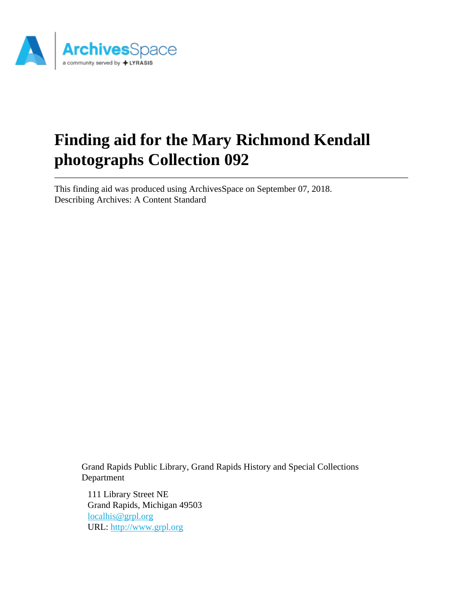

# **Finding aid for the Mary Richmond Kendall photographs Collection 092**

This finding aid was produced using ArchivesSpace on September 07, 2018. Describing Archives: A Content Standard

Grand Rapids Public Library, Grand Rapids History and Special Collections Department

111 Library Street NE Grand Rapids, Michigan 49503 [localhis@grpl.org](mailto:localhis@grpl.org) URL:<http://www.grpl.org>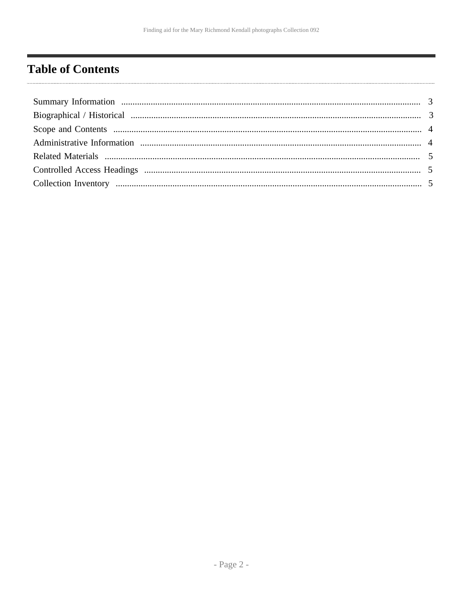# <span id="page-1-0"></span>**Table of Contents**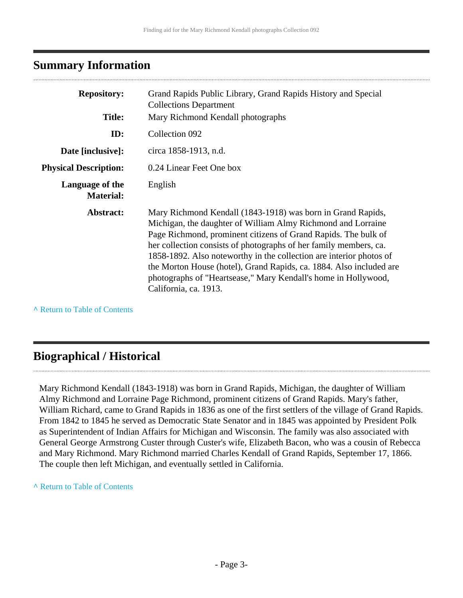### <span id="page-2-0"></span>**Summary Information**

| <b>Repository:</b>                  | Grand Rapids Public Library, Grand Rapids History and Special<br><b>Collections Department</b>                                                                                                                                                                                                                                                                                                                                                                                                              |
|-------------------------------------|-------------------------------------------------------------------------------------------------------------------------------------------------------------------------------------------------------------------------------------------------------------------------------------------------------------------------------------------------------------------------------------------------------------------------------------------------------------------------------------------------------------|
| <b>Title:</b>                       | Mary Richmond Kendall photographs                                                                                                                                                                                                                                                                                                                                                                                                                                                                           |
| ID:                                 | Collection 092                                                                                                                                                                                                                                                                                                                                                                                                                                                                                              |
| Date [inclusive]:                   | circa 1858-1913, n.d.                                                                                                                                                                                                                                                                                                                                                                                                                                                                                       |
| <b>Physical Description:</b>        | 0.24 Linear Feet One box                                                                                                                                                                                                                                                                                                                                                                                                                                                                                    |
| Language of the<br><b>Material:</b> | English                                                                                                                                                                                                                                                                                                                                                                                                                                                                                                     |
| Abstract:                           | Mary Richmond Kendall (1843-1918) was born in Grand Rapids,<br>Michigan, the daughter of William Almy Richmond and Lorraine<br>Page Richmond, prominent citizens of Grand Rapids. The bulk of<br>her collection consists of photographs of her family members, ca.<br>1858-1892. Also noteworthy in the collection are interior photos of<br>the Morton House (hotel), Grand Rapids, ca. 1884. Also included are<br>photographs of "Heartsease," Mary Kendall's home in Hollywood,<br>California, ca. 1913. |

**^** [Return to Table of Contents](#page-1-0)

### <span id="page-2-1"></span>**Biographical / Historical**

Mary Richmond Kendall (1843-1918) was born in Grand Rapids, Michigan, the daughter of William Almy Richmond and Lorraine Page Richmond, prominent citizens of Grand Rapids. Mary's father, William Richard, came to Grand Rapids in 1836 as one of the first settlers of the village of Grand Rapids. From 1842 to 1845 he served as Democratic State Senator and in 1845 was appointed by President Polk as Superintendent of Indian Affairs for Michigan and Wisconsin. The family was also associated with General George Armstrong Custer through Custer's wife, Elizabeth Bacon, who was a cousin of Rebecca and Mary Richmond. Mary Richmond married Charles Kendall of Grand Rapids, September 17, 1866. The couple then left Michigan, and eventually settled in California.

#### **^** [Return to Table of Contents](#page-1-0)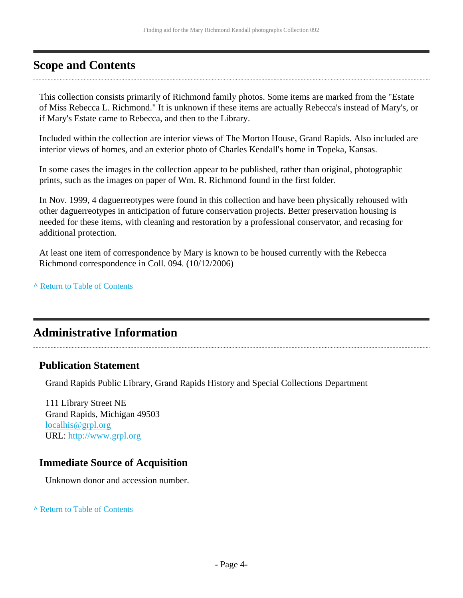### <span id="page-3-0"></span>**Scope and Contents**

This collection consists primarily of Richmond family photos. Some items are marked from the "Estate of Miss Rebecca L. Richmond." It is unknown if these items are actually Rebecca's instead of Mary's, or if Mary's Estate came to Rebecca, and then to the Library.

Included within the collection are interior views of The Morton House, Grand Rapids. Also included are interior views of homes, and an exterior photo of Charles Kendall's home in Topeka, Kansas.

In some cases the images in the collection appear to be published, rather than original, photographic prints, such as the images on paper of Wm. R. Richmond found in the first folder.

In Nov. 1999, 4 daguerreotypes were found in this collection and have been physically rehoused with other daguerreotypes in anticipation of future conservation projects. Better preservation housing is needed for these items, with cleaning and restoration by a professional conservator, and recasing for additional protection.

At least one item of correspondence by Mary is known to be housed currently with the Rebecca Richmond correspondence in Coll. 094. (10/12/2006)

**^** [Return to Table of Contents](#page-1-0)

### <span id="page-3-1"></span>**Administrative Information**

#### **Publication Statement**

Grand Rapids Public Library, Grand Rapids History and Special Collections Department

111 Library Street NE Grand Rapids, Michigan 49503 [localhis@grpl.org](mailto:localhis@grpl.org) URL:<http://www.grpl.org>

#### **Immediate Source of Acquisition**

Unknown donor and accession number.

**^** [Return to Table of Contents](#page-1-0)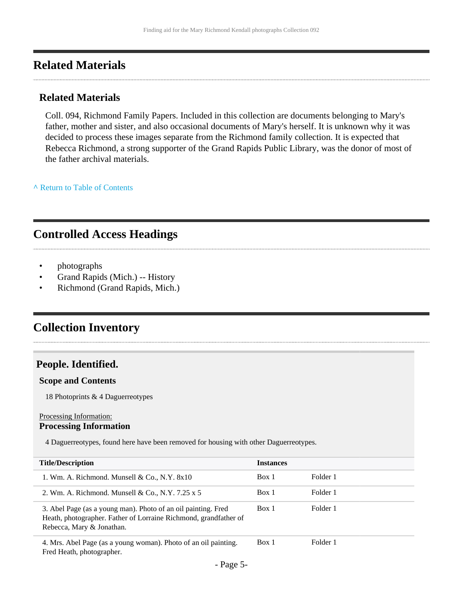#### <span id="page-4-0"></span>**Related Materials**

#### **Related Materials**

Coll. 094, Richmond Family Papers. Included in this collection are documents belonging to Mary's father, mother and sister, and also occasional documents of Mary's herself. It is unknown why it was decided to process these images separate from the Richmond family collection. It is expected that Rebecca Richmond, a strong supporter of the Grand Rapids Public Library, was the donor of most of the father archival materials.

**^** [Return to Table of Contents](#page-1-0)

# <span id="page-4-1"></span>**Controlled Access Headings**

- photographs
- Grand Rapids (Mich.) -- History
- Richmond (Grand Rapids, Mich.)

### <span id="page-4-2"></span>**Collection Inventory**

#### **People. Identified.**

#### **Scope and Contents**

18 Photoprints & 4 Daguerreotypes

#### Processing Information: **Processing Information**

4 Daguerreotypes, found here have been removed for housing with other Daguerreotypes.

| <b>Title/Description</b>                                                                                                                                       | <b>Instances</b> |          |
|----------------------------------------------------------------------------------------------------------------------------------------------------------------|------------------|----------|
| 1. Wm. A. Richmond. Munsell $\&$ Co., N.Y. $8x10$                                                                                                              | Box 1            | Folder 1 |
| 2. Wm. A. Richmond. Munsell & Co., N.Y. 7.25 x 5                                                                                                               | Box 1            | Folder 1 |
| 3. Abel Page (as a young man). Photo of an oil painting. Fred<br>Heath, photographer. Father of Lorraine Richmond, grandfather of<br>Rebecca, Mary & Jonathan. | Box 1            | Folder 1 |
| 4. Mrs. Abel Page (as a young woman). Photo of an oil painting.<br>Fred Heath, photographer.                                                                   | Box 1            | Folder 1 |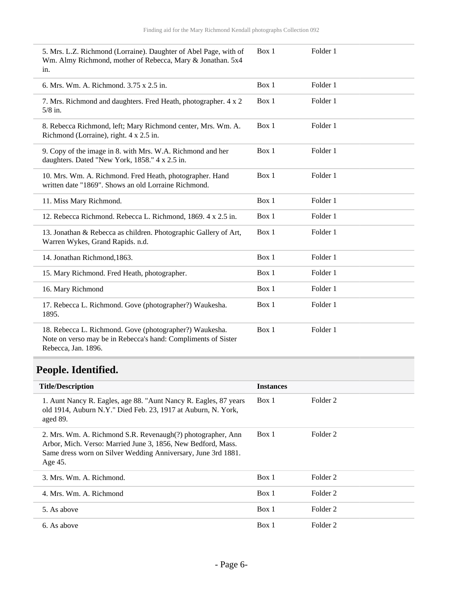| 5. Mrs. L.Z. Richmond (Lorraine). Daughter of Abel Page, with of<br>Wm. Almy Richmond, mother of Rebecca, Mary & Jonathan. 5x4<br>in.           | Box 1 | Folder 1 |
|-------------------------------------------------------------------------------------------------------------------------------------------------|-------|----------|
| 6. Mrs. Wm. A. Richmond. 3.75 x 2.5 in.                                                                                                         | Box 1 | Folder 1 |
| 7. Mrs. Richmond and daughters. Fred Heath, photographer. 4 x 2<br>$5/8$ in.                                                                    | Box 1 | Folder 1 |
| 8. Rebecca Richmond, left; Mary Richmond center, Mrs. Wm. A.<br>Richmond (Lorraine), right. 4 x 2.5 in.                                         | Box 1 | Folder 1 |
| 9. Copy of the image in 8. with Mrs. W.A. Richmond and her<br>daughters. Dated "New York, 1858." 4 x 2.5 in.                                    | Box 1 | Folder 1 |
| 10. Mrs. Wm. A. Richmond. Fred Heath, photographer. Hand<br>written date "1869". Shows an old Lorraine Richmond.                                | Box 1 | Folder 1 |
| 11. Miss Mary Richmond.                                                                                                                         | Box 1 | Folder 1 |
| 12. Rebecca Richmond. Rebecca L. Richmond, 1869. 4 x 2.5 in.                                                                                    | Box 1 | Folder 1 |
| 13. Jonathan & Rebecca as children. Photographic Gallery of Art,<br>Warren Wykes, Grand Rapids. n.d.                                            | Box 1 | Folder 1 |
| 14. Jonathan Richmond, 1863.                                                                                                                    | Box 1 | Folder 1 |
| 15. Mary Richmond. Fred Heath, photographer.                                                                                                    | Box 1 | Folder 1 |
| 16. Mary Richmond                                                                                                                               | Box 1 | Folder 1 |
| 17. Rebecca L. Richmond. Gove (photographer?) Waukesha.<br>1895.                                                                                | Box 1 | Folder 1 |
| 18. Rebecca L. Richmond. Gove (photographer?) Waukesha.<br>Note on verso may be in Rebecca's hand: Compliments of Sister<br>Rebecca, Jan. 1896. | Box 1 | Folder 1 |

# **People. Identified.**

| <b>Title/Description</b>                                                                                                                                                                                | <b>Instances</b> |                     |
|---------------------------------------------------------------------------------------------------------------------------------------------------------------------------------------------------------|------------------|---------------------|
| 1. Aunt Nancy R. Eagles, age 88. "Aunt Nancy R. Eagles, 87 years<br>old 1914, Auburn N.Y." Died Feb. 23, 1917 at Auburn, N. York,<br>aged 89.                                                           | Box 1            | Folder 2            |
| 2. Mrs. Wm. A. Richmond S.R. Revenaugh(?) photographer, Ann<br>Arbor, Mich. Verso: Married June 3, 1856, New Bedford, Mass.<br>Same dress worn on Silver Wedding Anniversary, June 3rd 1881.<br>Age 45. | Box 1            | Folder <sub>2</sub> |
| 3. Mrs. Wm. A. Richmond.                                                                                                                                                                                | Box 1            | Folder <sub>2</sub> |
| 4. Mrs. Wm. A. Richmond                                                                                                                                                                                 | Box 1            | Folder <sub>2</sub> |
| 5. As above                                                                                                                                                                                             | Box 1            | Folder <sub>2</sub> |
| 6. As above                                                                                                                                                                                             | Box 1            | Folder <sub>2</sub> |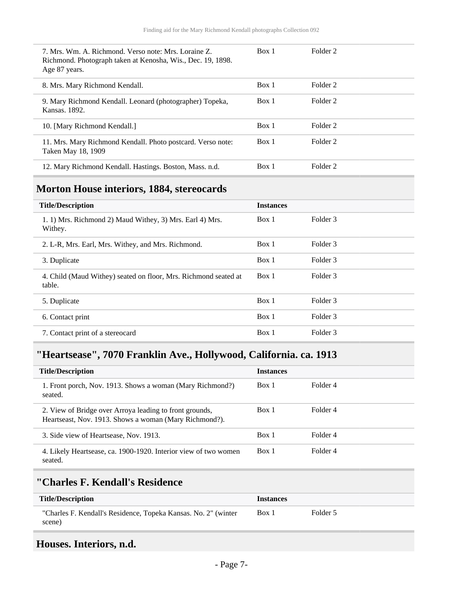| 7. Mrs. Wm. A. Richmond. Verso note: Mrs. Loraine Z.<br>Richmond. Photograph taken at Kenosha, Wis., Dec. 19, 1898.<br>Age 87 years. | Box 1 | Folder <sub>2</sub> |
|--------------------------------------------------------------------------------------------------------------------------------------|-------|---------------------|
| 8. Mrs. Mary Richmond Kendall.                                                                                                       | Box 1 | Folder 2            |
| 9. Mary Richmond Kendall. Leonard (photographer) Topeka,<br>Kansas. 1892.                                                            | Box 1 | Folder 2            |
| 10. [Mary Richmond Kendall.]                                                                                                         | Box 1 | Folder <sub>2</sub> |
| 11. Mrs. Mary Richmond Kendall. Photo postcard. Verso note:<br>Taken May 18, 1909                                                    | Box 1 | Folder 2            |
| 12. Mary Richmond Kendall. Hastings. Boston, Mass. n.d.                                                                              | Box 1 | Folder <sub>2</sub> |

## **Morton House interiors, 1884, stereocards**

| <b>Title/Description</b>                                                  | <b>Instances</b> |          |
|---------------------------------------------------------------------------|------------------|----------|
| 1. 1) Mrs. Richmond 2) Maud Withey, 3) Mrs. Earl 4) Mrs.<br>Withey.       | Box 1            | Folder 3 |
| 2. L-R, Mrs. Earl, Mrs. Withey, and Mrs. Richmond.                        | Box 1            | Folder 3 |
| 3. Duplicate                                                              | Box 1            | Folder 3 |
| 4. Child (Maud Withey) seated on floor, Mrs. Richmond seated at<br>table. | Box 1            | Folder 3 |
| 5. Duplicate                                                              | Box 1            | Folder 3 |
| 6. Contact print                                                          | Box 1            | Folder 3 |
| 7. Contact print of a stereocard                                          | Box 1            | Folder 3 |

## **"Heartsease", 7070 Franklin Ave., Hollywood, California. ca. 1913**

| <b>Title/Description</b>                                                                                          | <b>Instances</b> |          |
|-------------------------------------------------------------------------------------------------------------------|------------------|----------|
| 1. Front porch, Nov. 1913. Shows a woman (Mary Richmond?)<br>seated.                                              | Box 1            | Folder 4 |
| 2. View of Bridge over Arroya leading to front grounds,<br>Heartseast, Nov. 1913. Shows a woman (Mary Richmond?). | Box 1            | Folder 4 |
| 3. Side view of Heartsease, Nov. 1913.                                                                            | Box 1            | Folder 4 |
| 4. Likely Heartsease, ca. 1900-1920. Interior view of two women<br>seated.                                        | Box 1            | Folder 4 |

#### **"Charles F. Kendall's Residence**

| <b>Title/Description</b>                                       | <i><u><b>Instances</b></u></i> |          |
|----------------------------------------------------------------|--------------------------------|----------|
| "Charles F. Kendall's Residence, Topeka Kansas. No. 2" (winter | Box 1                          | Folder 5 |
| scene)                                                         |                                |          |

# **Houses. Interiors, n.d.**